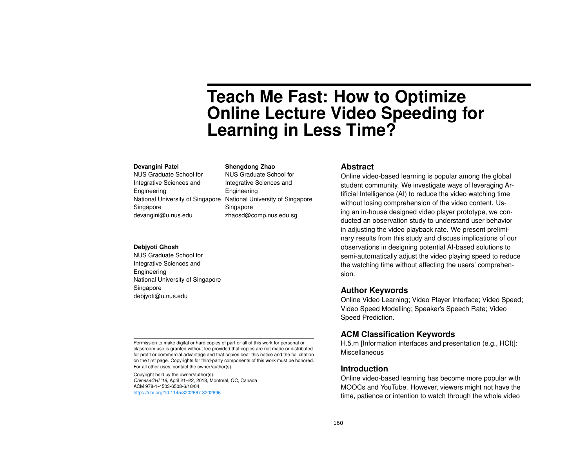# **Teach Me Fast: How to Optimize Online Lecture Video Speeding for Learning in Less Time?**

#### **Devangini Patel**

NUS Graduate School for Integrative Sciences and Engineering National University of Singapore Singapore devangini@u.nus.edu

NUS Graduate School for Integrative Sciences and Engineering National University of Singapore

**Shengdong Zhao**

Singapore zhaosd@comp.nus.edu.sg

#### **Debjyoti Ghosh**

NUS Graduate School for Integrative Sciences and Engineering National University of Singapore Singapore debjyoti@u.nus.edu

Permission to make digital or hard copies of part or all of this work for personal or classroom use is granted without fee provided that copies are not made or distributed for profit or commercial advantage and that copies bear this notice and the full citation on the first page. Copyrights for third-party components of this work must be honored. For all other uses, contact the owner/author(s).

Copyright held by the owner/author(s). *ChineseCHI '18*, April 21–22, 2018, Montreal, QC, Canada ACM 978-1-4503-6508-6/18/04. <https://doi.org/10.1145/3202667.3202696>

## **Abstract**

Online video-based learning is popular among the global student community. We investigate ways of leveraging Artificial Intelligence (AI) to reduce the video watching time without losing comprehension of the video content. Using an in-house designed video player prototype, we conducted an observation study to understand user behavior in adjusting the video playback rate. We present preliminary results from this study and discuss implications of our observations in designing potential AI-based solutions to semi-automatically adjust the video playing speed to reduce the watching time without affecting the users' comprehension.

## **Author Keywords**

Online Video Learning; Video Player Interface; Video Speed; Video Speed Modelling; Speaker's Speech Rate; Video Speed Prediction.

# **ACM Classification Keywords**

H.5.m [Information interfaces and presentation (e.g., HCI)]: Miscellaneous

# **Introduction**

Online video-based learning has become more popular with MOOCs and YouTube. However, viewers might not have the time, patience or intention to watch through the whole video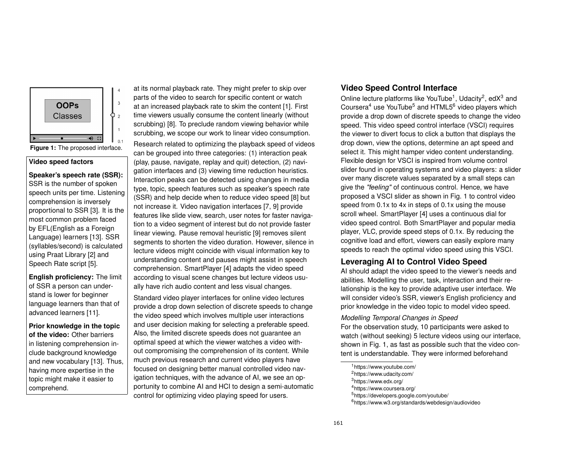

### <span id="page-1-6"></span>**Video speed factors**

**Speaker's speech rate (SSR):** SSR is the number of spoken speech units per time. Listening comprehension is inversely proportional to SSR [\[3\]](#page-3-2). It is the most common problem faced by EFL(English as a Foreign Language) learners [\[13\]](#page-3-3). SSR (syllables/second) is calculated using Praat Library [\[2\]](#page-3-4) and Speech Rate script [\[5\]](#page-3-5).

**English proficiency:** The limit of SSR a person can understand is lower for beginner language learners than that of advanced learners [\[11\]](#page-3-6).

**Prior knowledge in the topic of the video:** Other barriers in listening comprehension include background knowledge and new vocabulary [\[13\]](#page-3-3). Thus, having more expertise in the topic might make it easier to comprehend.

at its normal playback rate. They might prefer to skip over parts of the video to search for specific content or watch at an increased playback rate to skim the content [\[1\]](#page-3-0). First time viewers usually consume the content linearly (without scrubbing) [\[8\]](#page-3-1). To preclude random viewing behavior while scrubbing, we scope our work to linear video consumption.

Research related to optimizing the playback speed of videos can be grouped into three categories: (1) interaction peak (play, pause, navigate, replay and quit) detection, (2) navigation interfaces and (3) viewing time reduction heuristics. Interaction peaks can be detected using changes in media type, topic, speech features such as speaker's speech rate (SSR) and help decide when to reduce video speed [\[8\]](#page-3-1) but not increase it. Video navigation interfaces [\[7,](#page-3-7) [9\]](#page-3-8) provide features like slide view, search, user notes for faster navigation to a video segment of interest but do not provide faster linear viewing. Pause removal heuristic [\[9\]](#page-3-8) removes silent segments to shorten the video duration. However, silence in lecture videos might coincide with visual information key to understanding content and pauses might assist in speech comprehension. SmartPlayer [\[4\]](#page-3-9) adapts the video speed according to visual scene changes but lecture videos usually have rich audio content and less visual changes.

Standard video player interfaces for online video lectures provide a drop down selection of discrete speeds to change the video speed which involves multiple user interactions and user decision making for selecting a preferable speed. Also, the limited discrete speeds does not guarantee an optimal speed at which the viewer watches a video without compromising the comprehension of its content. While much previous research and current video players have focused on designing better manual controlled video navigation techniques, with the advance of AI, we see an opportunity to combine AI and HCI to design a semi-automatic control for optimizing video playing speed for users.

# **Video Speed Control Interface**

Online lecture platforms like YouTube<sup>[1](#page-1-0)</sup>, Udacity<sup>[2](#page-1-1)</sup>, edX<sup>[3](#page-1-2)</sup> and Coursera<sup>[4](#page-1-3)</sup> use YouTube<sup>[5](#page-1-4)</sup> and HTML5<sup>[6](#page-1-5)</sup> video players which provide a drop down of discrete speeds to change the video speed. This video speed control interface (VSCI) requires the viewer to divert focus to click a button that displays the drop down, view the options, determine an apt speed and select it. This might hamper video content understanding. Flexible design for VSCI is inspired from volume control slider found in operating systems and video players: a slider over many discrete values separated by a small steps can give the *"feeling"* of continuous control. Hence, we have proposed a VSCI slider as shown in Fig. [1](#page-1-6) to control video speed from 0.1x to 4x in steps of 0.1x using the mouse scroll wheel. SmartPlayer [\[4\]](#page-3-9) uses a continuous dial for video speed control. Both SmartPlayer and popular media player, VLC, provide speed steps of 0.1x. By reducing the cognitive load and effort, viewers can easily explore many speeds to reach the optimal video speed using this VSCI.

# **Leveraging AI to Control Video Speed**

AI should adapt the video speed to the viewer's needs and abilities. Modelling the user, task, interaction and their relationship is the key to provide adaptive user interface. We will consider video's SSR, viewer's English proficiency and prior knowledge in the video topic to model video speed.

## *Modelling Temporal Changes in Speed*

For the observation study, 10 participants were asked to watch (without seeking) 5 lecture videos using our interface, shown in Fig. [1,](#page-1-6) as fast as possible such that the video content is understandable. They were informed beforehand

<span id="page-1-1"></span><span id="page-1-0"></span><sup>1</sup>https://www.youtube.com/ <sup>2</sup>https://www.udacity.com/

<span id="page-1-2"></span><sup>3</sup>https://www.edx.org/

<span id="page-1-3"></span><sup>4</sup>https://www.coursera.org/

<span id="page-1-4"></span><sup>5</sup>https://developers.google.com/youtube/

<span id="page-1-5"></span><sup>6</sup>https://www.w3.org/standards/webdesign/audiovideo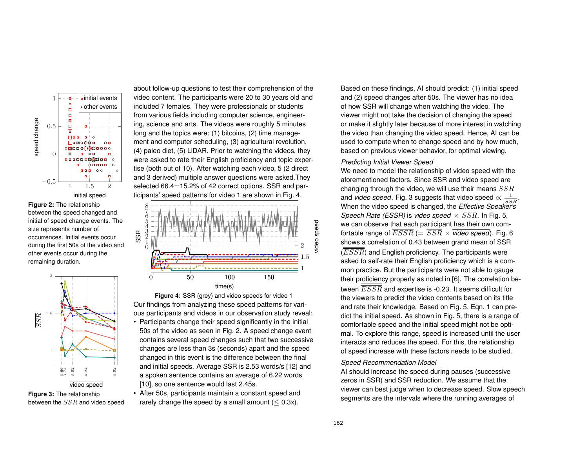

<span id="page-2-1"></span>**Figure 2:** The relationship between the speed changed and initial of speed change events. The size represents number of occurrences. Initial events occur during the first 50s of the video and other events occur during the remaining duration.



<span id="page-2-2"></span>**Figure 3:** The relationship between the  $\overline{SSR}$  and video speed

about follow-up questions to test their comprehension of the video content. The participants were 20 to 30 years old and included 7 females. They were professionals or students from various fields including computer science, engineering, science and arts. The videos were roughly 5 minutes long and the topics were: (1) bitcoins, (2) time management and computer scheduling, (3) agricultural revolution, (4) paleo diet, (5) LiDAR. Prior to watching the videos, they were asked to rate their English proficiency and topic expertise (both out of 10). After watching each video, 5 (2 direct and 3 derived) multiple answer questions were asked.They selected 66.4±15.2% of 42 correct options. SSR and participants' speed patterns for video 1 are shown in Fig. [4.](#page-2-0)

<span id="page-2-0"></span>

**Figure 4:** SSR (grey) and video speeds for video 1 Our findings from analyzing these speed patterns for various participants and videos in our observation study reveal: • Participants change their speed significantly in the initial 50s of the video as seen in Fig. [2.](#page-2-1) A speed change event contains several speed changes such that two successive changes are less than 3s (seconds) apart and the speed changed in this event is the difference between the final and initial speeds. Average SSR is 2.53 words/s [\[12\]](#page-3-10) and a spoken sentence contains an average of 6.22 words [\[10\]](#page-3-11), so one sentence would last 2.45s.

• After 50s, participants maintain a constant speed and rarely change the speed by a small amount  $(< 0.3x)$ .

Based on these findings, AI should predict: (1) initial speed and (2) speed changes after 50s. The viewer has no idea of how SSR will change when watching the video. The viewer might not take the decision of changing the speed or make it slightly later because of more interest in watching the video than changing the video speed. Hence, AI can be used to compute when to change speed and by how much, based on previous viewer behavior, for optimal viewing.

## *Predicting Initial Viewer Speed*

We need to model the relationship of video speed with the aforementioned factors. Since SSR and video speed are changing through the video, we will use their means  $\overline{SSR}$ and *video speed*. Fig. [3](#page-2-2) suggests that video speed  $\propto \frac{1}{SSR}$ . When the video speed is changed, the *Effective Speaker's Speech Rate (ESSR)* is *video speed*  $\times$  *SSR*. In Fig. [5,](#page-3-12) we can observe that each participant has their own comfortable range of  $\overline{ESSR}$  (=  $\overline{SSR} \times \overline{video\ speed}$ ). Fig. [6](#page-3-13) shows a correlation of 0.43 between grand mean of SSR  $(\overline{ESSR})$  and English proficiency. The participants were asked to self-rate their English proficiency which is a common practice. But the participants were not able to gauge their proficiency properly as noted in [\[6\]](#page-3-14). The correlation between  $\overline{\overline{ESSR}}$  and expertise is -0.23. It seems difficult for the viewers to predict the video contents based on its title and rate their knowledge. Based on Fig. [5,](#page-3-12) Eqn. [1](#page-3-15) can predict the initial speed. As shown in Fig. [5,](#page-3-12) there is a range of comfortable speed and the initial speed might not be optimal. To explore this range, speed is increased until the user interacts and reduces the speed. For this, the relationship of speed increase with these factors needs to be studied.

#### *Speed Recommendation Model*

AI should increase the speed during pauses (successive zeros in SSR) and SSR reduction. We assume that the viewer can best judge when to decrease speed. Slow speech segments are the intervals where the running averages of